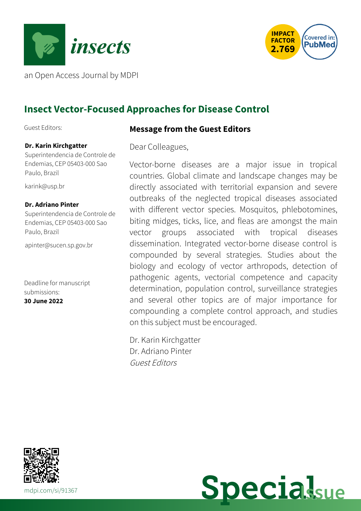



an Open Access Journal by MDPI

# **Insect Vector-Focused Approaches for Disease Control**

Guest Editors:

## **Dr. Karin Kirchgatter**

Superintendencia de Controle de Endemias, CEP 05403-000 Sao Paulo, Brazil

[karink@usp.br](mailto:karink@usp.br)

#### **Dr. Adriano Pinter**

Superintendencia de Controle de Endemias, CEP 05403-000 Sao Paulo, Brazil

[apinter@sucen.sp.gov.br](mailto:apinter@sucen.sp.gov.br)

Deadline for manuscript submissions: **30 June 2022**

### **Message from the Guest Editors**

#### Dear Colleagues,

Vector-borne diseases are a major issue in tropical countries. Global climate and landscape changes may be directly associated with territorial expansion and severe outbreaks of the neglected tropical diseases associated with different vector species. Mosquitos, phlebotomines, biting midges, ticks, lice, and fleas are amongst the main vector groups associated with tropical diseases dissemination. Integrated vector-borne disease control is compounded by several strategies. Studies about the biology and ecology of vector arthropods, detection of pathogenic agents, vectorial competence and capacity determination, population control, surveillance strategies and several other topics are of major importance for compounding a complete control approach, and studies on this subject must be encouraged.

Dr. Karin Kirchgatter Dr. Adriano Pinter Guest Editors



**Special**sue